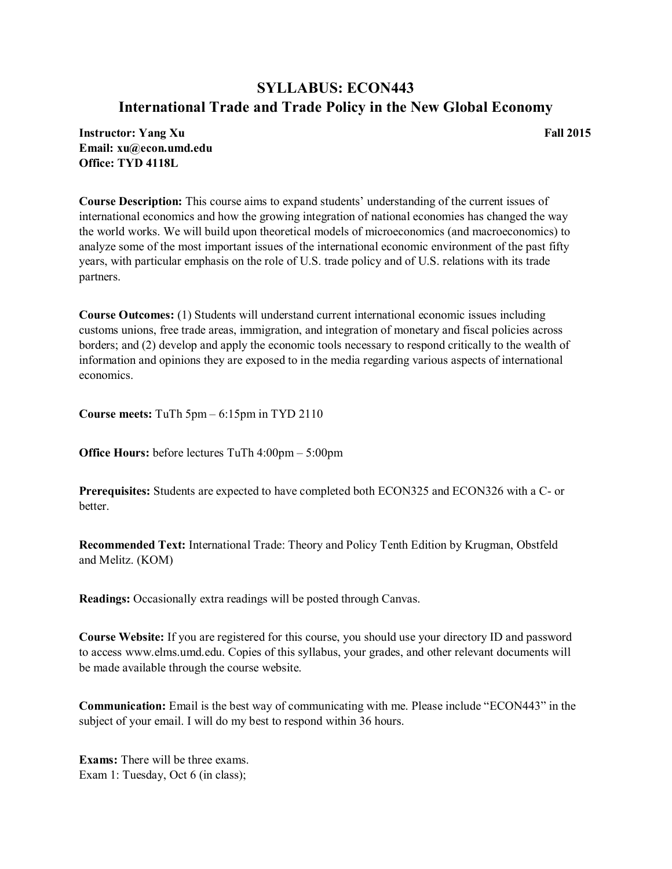## SYLLABUS: ECON443 International Trade and Trade Policy in the New Global Economy

Instructor: Yang Xu Fall 2015 Email: xu@econ.umd.edu Office: TYD 4118L

Course Description: This course aims to expand students' understanding of the current issues of international economics and how the growing integration of national economies has changed the way the world works. We will build upon theoretical models of microeconomics (and macroeconomics) to analyze some of the most important issues of the international economic environment of the past fifty years, with particular emphasis on the role of U.S. trade policy and of U.S. relations with its trade partners.

Course Outcomes: (1) Students will understand current international economic issues including customs unions, free trade areas, immigration, and integration of monetary and fiscal policies across borders; and (2) develop and apply the economic tools necessary to respond critically to the wealth of information and opinions they are exposed to in the media regarding various aspects of international economics.

Course meets: TuTh 5pm – 6:15pm in TYD 2110

Office Hours: before lectures TuTh 4:00pm – 5:00pm

Prerequisites: Students are expected to have completed both ECON325 and ECON326 with a C- or **better** 

Recommended Text: International Trade: Theory and Policy Tenth Edition by Krugman, Obstfeld and Melitz. (KOM)

Readings: Occasionally extra readings will be posted through Canvas.

Course Website: If you are registered for this course, you should use your directory ID and password to access www.elms.umd.edu. Copies of this syllabus, your grades, and other relevant documents will be made available through the course website.

Communication: Email is the best way of communicating with me. Please include "ECON443" in the subject of your email. I will do my best to respond within 36 hours.

Exams: There will be three exams. Exam 1: Tuesday, Oct 6 (in class);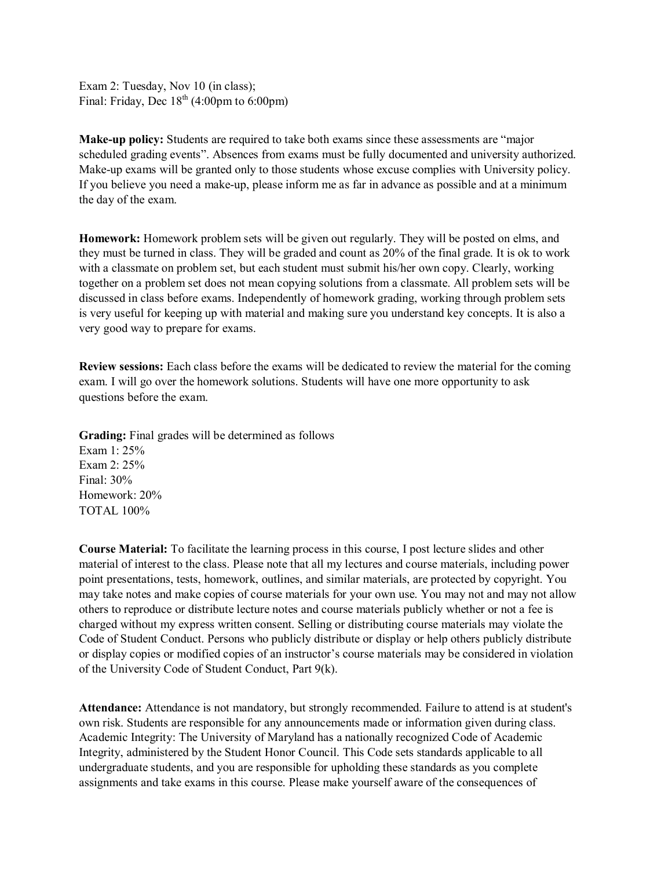Exam 2: Tuesday, Nov 10 (in class); Final: Friday, Dec  $18<sup>th</sup>$  (4:00pm to 6:00pm)

Make-up policy: Students are required to take both exams since these assessments are "major scheduled grading events". Absences from exams must be fully documented and university authorized. Make-up exams will be granted only to those students whose excuse complies with University policy. If you believe you need a make-up, please inform me as far in advance as possible and at a minimum the day of the exam.

Homework: Homework problem sets will be given out regularly. They will be posted on elms, and they must be turned in class. They will be graded and count as 20% of the final grade. It is ok to work with a classmate on problem set, but each student must submit his/her own copy. Clearly, working together on a problem set does not mean copying solutions from a classmate. All problem sets will be discussed in class before exams. Independently of homework grading, working through problem sets is very useful for keeping up with material and making sure you understand key concepts. It is also a very good way to prepare for exams.

Review sessions: Each class before the exams will be dedicated to review the material for the coming exam. I will go over the homework solutions. Students will have one more opportunity to ask questions before the exam.

Grading: Final grades will be determined as follows

Exam 1: 25% Exam 2: 25% Final: 30% Homework: 20% TOTAL 100%

Course Material: To facilitate the learning process in this course, I post lecture slides and other material of interest to the class. Please note that all my lectures and course materials, including power point presentations, tests, homework, outlines, and similar materials, are protected by copyright. You may take notes and make copies of course materials for your own use. You may not and may not allow others to reproduce or distribute lecture notes and course materials publicly whether or not a fee is charged without my express written consent. Selling or distributing course materials may violate the Code of Student Conduct. Persons who publicly distribute or display or help others publicly distribute or display copies or modified copies of an instructor's course materials may be considered in violation of the University Code of Student Conduct, Part 9(k).

Attendance: Attendance is not mandatory, but strongly recommended. Failure to attend is at student's own risk. Students are responsible for any announcements made or information given during class. Academic Integrity: The University of Maryland has a nationally recognized Code of Academic Integrity, administered by the Student Honor Council. This Code sets standards applicable to all undergraduate students, and you are responsible for upholding these standards as you complete assignments and take exams in this course. Please make yourself aware of the consequences of